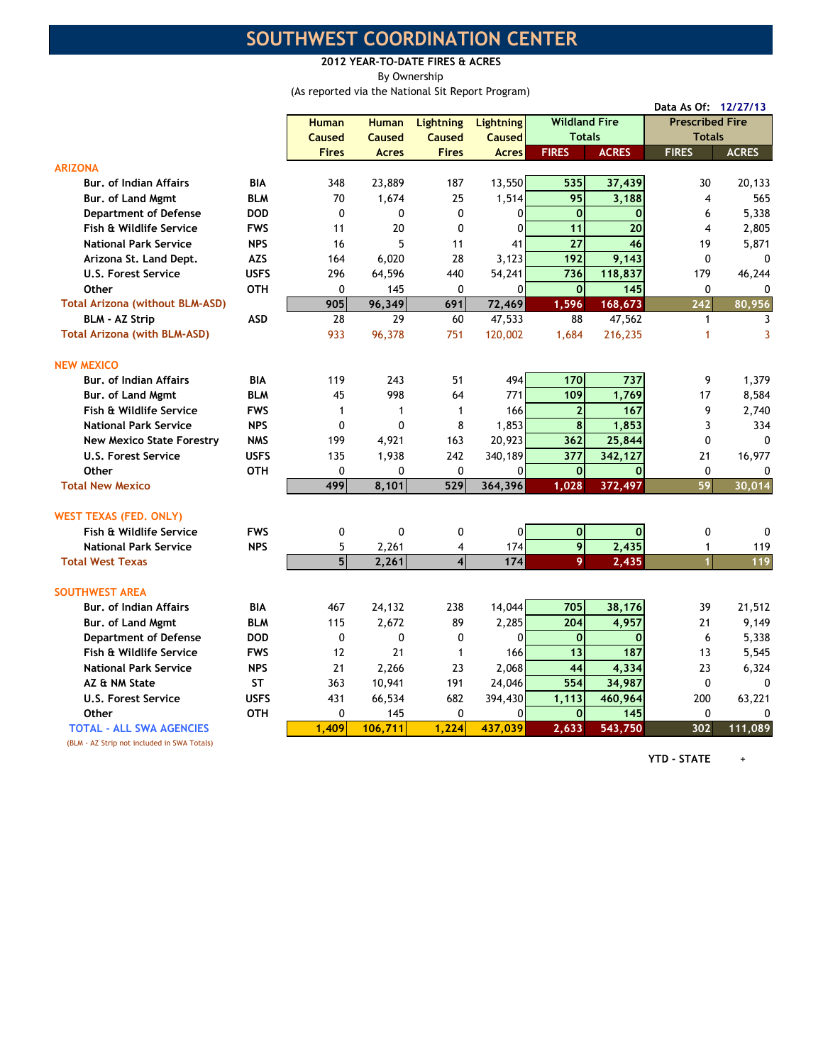## SOUTHWEST COORDINATION CENTER

2012 YEAR-TO-DATE FIRES & ACRES By Ownership

(As reported via the National Sit Report Program)

|                                             |             |              |              |                         |                  |                      |              | Data As Of: 12/27/13   |              |
|---------------------------------------------|-------------|--------------|--------------|-------------------------|------------------|----------------------|--------------|------------------------|--------------|
|                                             |             | <b>Human</b> | <b>Human</b> | <b>Lightning</b>        | <b>Lightning</b> | <b>Wildland Fire</b> |              | <b>Prescribed Fire</b> |              |
|                                             |             | Caused       | Caused       | <b>Caused</b>           | Caused           | <b>Totals</b>        |              | <b>Totals</b>          |              |
|                                             |             | <b>Fires</b> | <b>Acres</b> | <b>Fires</b>            | <b>Acres</b>     | <b>FIRES</b>         | <b>ACRES</b> | <b>FIRES</b>           | <b>ACRES</b> |
| <b>ARIZONA</b>                              |             |              |              |                         |                  |                      |              |                        |              |
| <b>Bur. of Indian Affairs</b>               | <b>BIA</b>  | 348          | 23,889       | 187                     | 13,550           | 535                  | 37,439       | 30                     | 20,133       |
| Bur, of Land Mgmt                           | <b>BLM</b>  | 70           | 1,674        | 25                      | 1,514            | 95                   | 3,188        | 4                      | 565          |
| <b>Department of Defense</b>                | <b>DOD</b>  | $\Omega$     | $\mathbf{0}$ | 0                       | $\Omega$         | $\mathbf 0$          | $\Omega$     | 6                      | 5,338        |
| Fish & Wildlife Service                     | <b>FWS</b>  | 11           | 20           | 0                       | 0                | 11                   | 20           | $\overline{4}$         | 2,805        |
| <b>National Park Service</b>                | <b>NPS</b>  | 16           | 5            | 11                      | 41               | $\overline{27}$      | 46           | 19                     | 5,871        |
| Arizona St. Land Dept.                      | <b>AZS</b>  | 164          | 6,020        | 28                      | 3,123            | 192                  | 9,143        | $\Omega$               | 0            |
| <b>U.S. Forest Service</b>                  | <b>USFS</b> | 296          | 64,596       | 440                     | 54,241           | 736                  | 118,837      | 179                    | 46,244       |
| Other                                       | <b>OTH</b>  | 0            | 145          | $\Omega$                | $\mathbf 0$      | $\mathbf{0}$         | 145          | $\mathbf 0$            | $\Omega$     |
| <b>Total Arizona (without BLM-ASD)</b>      |             | 905          | 96,349       | 691                     | 72,469           | 1,596                | 168,673      | 242                    | 80,956       |
| <b>BLM - AZ Strip</b>                       | <b>ASD</b>  | 28           | 29           | 60                      | 47,533           | 88                   | 47,562       | $\mathbf{1}$           | 3            |
| <b>Total Arizona (with BLM-ASD)</b>         |             | 933          | 96,378       | 751                     | 120,002          | 1,684                | 216,235      | 1                      | 3            |
| <b>NEW MEXICO</b>                           |             |              |              |                         |                  |                      |              |                        |              |
| <b>Bur. of Indian Affairs</b>               | <b>BIA</b>  | 119          | 243          | 51                      | 494              | 170                  | 737          | 9                      | 1,379        |
| Bur, of Land Mgmt                           | <b>BLM</b>  | 45           | 998          | 64                      | 771              | 109                  | 1,769        | 17                     | 8,584        |
| Fish & Wildlife Service                     | <b>FWS</b>  | $\mathbf{1}$ | $\mathbf{1}$ | $\mathbf{1}$            | 166              | $\overline{2}$       | 167          | 9                      | 2,740        |
| <b>National Park Service</b>                | <b>NPS</b>  | 0            | $\Omega$     | 8                       | 1,853            | 8                    | 1,853        | 3                      | 334          |
| <b>New Mexico State Forestry</b>            | <b>NMS</b>  | 199          | 4,921        | 163                     | 20,923           | 362                  | 25,844       | $\mathbf 0$            | 0            |
| <b>U.S. Forest Service</b>                  | <b>USFS</b> | 135          | 1,938        | 242                     | 340,189          | 377                  | 342,127      | 21                     | 16,977       |
| Other                                       | <b>OTH</b>  | $\mathbf{0}$ | 0            | $\mathbf{0}$            | 0                | $\mathbf 0$          | $\mathbf{0}$ | $\Omega$               | $\mathbf{0}$ |
| <b>Total New Mexico</b>                     |             | 499          | 8,101        | 529                     | 364,396          | 1,028                | 372,497      | 59                     | 30,014       |
| <b>WEST TEXAS (FED. ONLY)</b>               |             |              |              |                         |                  |                      |              |                        |              |
| Fish & Wildlife Service                     | <b>FWS</b>  | 0            | 0            | 0                       | 0                | $\mathbf{0}$         | $\mathbf{0}$ | $\mathbf 0$            | 0            |
| <b>National Park Service</b>                | <b>NPS</b>  | 5            | 2,261        | $\overline{4}$          | 174              | 9                    | 2,435        | $\mathbf{1}$           | 119          |
| <b>Total West Texas</b>                     |             | 5            | 2,261        | $\overline{\mathbf{4}}$ | 174              | 9                    | 2,435        | $\mathbf{1}$           | 119          |
| <b>SOUTHWEST AREA</b>                       |             |              |              |                         |                  |                      |              |                        |              |
| Bur. of Indian Affairs                      | <b>BIA</b>  | 467          | 24,132       | 238                     | 14,044           | 705                  | 38,176       | 39                     | 21,512       |
| Bur. of Land Mgmt                           | <b>BLM</b>  | 115          | 2,672        | 89                      | 2,285            | 204                  | 4,957        | 21                     | 9,149        |
| <b>Department of Defense</b>                | <b>DOD</b>  | 0            | 0            | 0                       | $\mathbf{0}$     | $\mathbf{O}$         | $\bf{0}$     | 6                      | 5,338        |
| Fish & Wildlife Service                     | <b>FWS</b>  | 12           | 21           | 1                       | 166              | 13                   | 187          | 13                     | 5,545        |
| <b>National Park Service</b>                | <b>NPS</b>  | 21           | 2,266        | 23                      | 2,068            | 44                   | 4,334        | 23                     | 6,324        |
| AZ & NM State                               | <b>ST</b>   | 363          | 10,941       | 191                     | 24,046           | 554                  | 34,987       | $\mathbf{0}$           |              |
| <b>U.S. Forest Service</b>                  | <b>USFS</b> | 431          | 66,534       | 682                     | 394,430          | 1,113                | 460,964      | 200                    | 63,221       |
| <b>Other</b>                                | <b>OTH</b>  | $\mathbf{0}$ | 145          | 0                       | $\mathbf{0}$     | $\mathbf 0$          | 145          | $\Omega$               | 0            |
| <b>TOTAL - ALL SWA AGENCIES</b>             |             | 1.409        | 106,711      | 1.224                   | 437,039          | 2,633                | 543,750      | 302                    | 111.089      |
| (BLM - AZ Strip not included in SWA Totals) |             |              |              |                         |                  |                      |              |                        |              |

YTD - STATE +